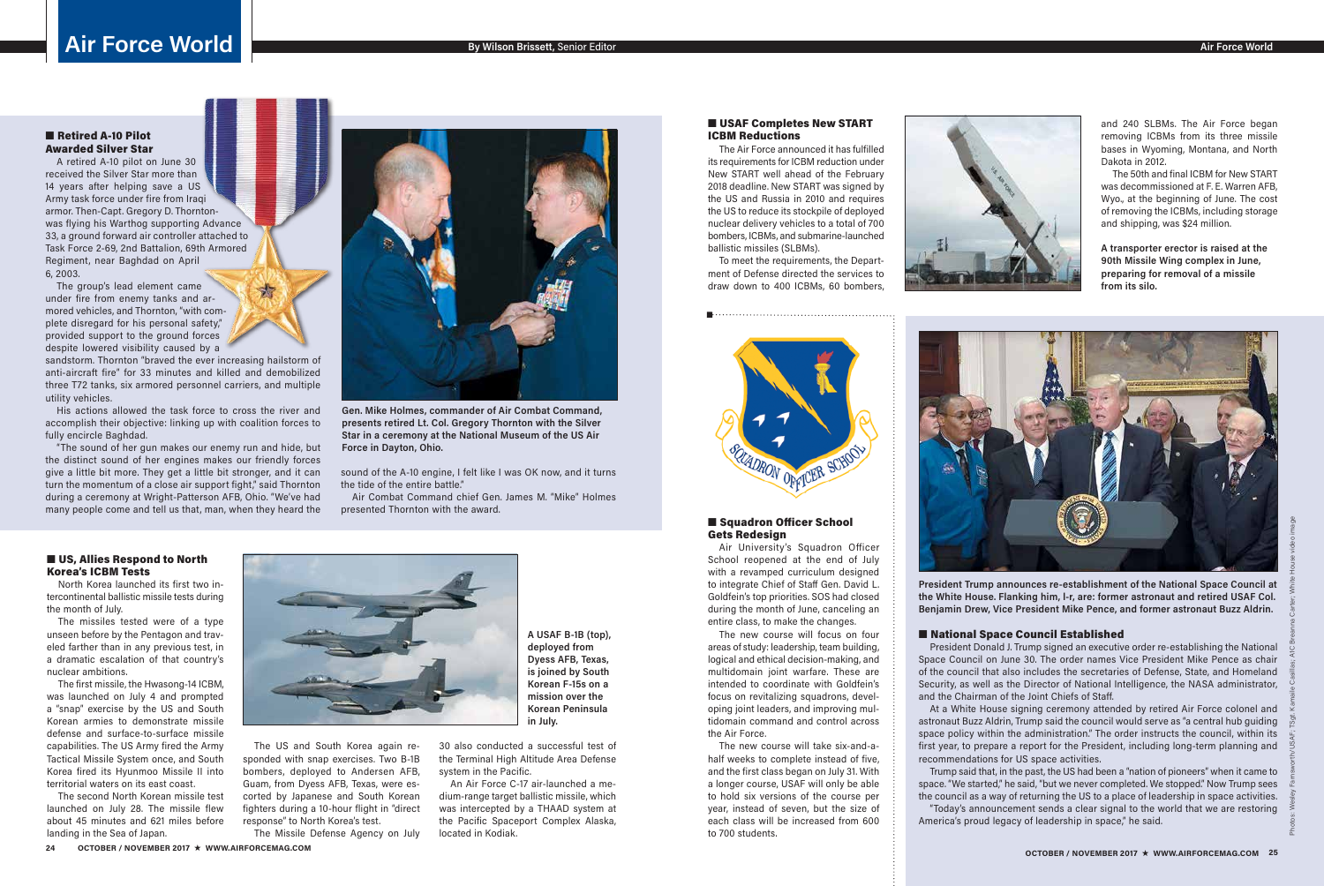### ■ Retired A-10 Pilot Awarded Silver Star

A retired A-10 pilot on June 30 received the Silver Star more than 14 years after helping save a US Army task force under fire from Iraqi armor. Then-Capt. Gregory D. Thorntonwas flying his Warthog supporting Advance 33, a ground forward air controller attached to Task Force 2-69, 2nd Battalion, 69th Armored Regiment, near Baghdad on April 6, 2003.

The group's lead element came under fire from enemy tanks and armored vehicles, and Thornton, "with complete disregard for his personal safety," provided support to the ground forces despite lowered visibility caused by a

sandstorm. Thornton "braved the ever increasing hailstorm of anti-aircraft fire" for 33 minutes and killed and demobilized three T72 tanks, six armored personnel carriers, and multiple utility vehicles.

### ■ US, Allies Respond to North Korea's ICBM Tests

His actions allowed the task force to cross the river and accomplish their objective: linking up with coalition forces to fully encircle Baghdad.

"The sound of her gun makes our enemy run and hide, but the distinct sound of her engines makes our friendly forces give a little bit more. They get a little bit stronger, and it can turn the momentum of a close air support fight," said Thornton during a ceremony at Wright-Patterson AFB, Ohio. "We've had many people come and tell us that, man, when they heard the



sound of the A-10 engine, I felt like I was OK now, and it turns the tide of the entire battle."

Air Combat Command chief Gen. James M. "Mike" Holmes presented Thornton with the award.

### ■ Squadron Officer School Gets Redesign

**Gen. Mike Holmes, commander of Air Combat Command, presents retired Lt. Col. Gregory Thornton with the Silver Star in a ceremony at the National Museum of the US Air Force in Dayton, Ohio.**

North Korea launched its first two intercontinental ballistic missile tests during the month of July.

The missiles tested were of a type unseen before by the Pentagon and traveled farther than in any previous test, in a dramatic escalation of that country's nuclear ambitions.

### ■ USAF Completes New START ICBM Reductions

The first missile, the Hwasong-14 ICBM, was launched on July 4 and prompted a "snap" exercise by the US and South Korean armies to demonstrate missile defense and surface-to-surface missile capabilities. The US Army fired the Army Tactical Missile System once, and South Korea fired its Hyunmoo Missile II into territorial waters on its east coast.

The second North Korean missile test launched on July 28. The missile flew about 45 minutes and 621 miles before landing in the Sea of Japan.



The US and South Korea again responded with snap exercises. Two B-1B bombers, deployed to Andersen AFB, Guam, from Dyess AFB, Texas, were escorted by Japanese and South Korean fighters during a 10-hour flight in "direct response" to North Korea's test.

The Missile Defense Agency on July

30 also conducted a successful test of the Terminal High Altitude Area Defense system in the Pacific.

An Air Force C-17 air-launched a medium-range target ballistic missile, which was intercepted by a THAAD system at the Pacific Spaceport Complex Alaska, located in Kodiak.

# **Air Force World**

**A USAF B-1B (top), deployed from Dyess AFB, Texas, is joined by South** 

**Korean F-15s on a mission over the Korean Peninsula in July.**

Air University's Squadron Officer School reopened at the end of July with a revamped curriculum designed to integrate Chief of Staff Gen. David L. Goldfein's top priorities. SOS had closed during the month of June, canceling an entire class, to make the changes.

The new course will focus on four areas of study: leadership, team building, logical and ethical decision-making, and multidomain joint warfare. These are intended to coordinate with Goldfein's focus on revitalizing squadrons, developing joint leaders, and improving multidomain command and control across the Air Force.

The new course will take six-and-ahalf weeks to complete instead of five, and the first class began on July 31. With a longer course, USAF will only be able to hold six versions of the course per year, instead of seven, but the size of each class will be increased from 600 to 700 students.



### ■ National Space Council Established

The Air Force announced it has fulfilled its requirements for ICBM reduction under New START well ahead of the February 2018 deadline. New START was signed by the US and Russia in 2010 and requires the US to reduce its stockpile of deployed nuclear delivery vehicles to a total of 700 bombers, ICBMs, and submarine-launched ballistic missiles (SLBMs).

To meet the requirements, the Department of Defense directed the services to draw down to 400 ICBMs, 60 bombers,





and 240 SLBMs. The Air Force began removing ICBMs from its three missile bases in Wyoming, Montana, and North Dakota in 2012.

The 50th and final ICBM for New START was decommissioned at F. E. Warren AFB, Wyo., at the beginning of June. The cost of removing the ICBMs, including storage and shipping, was \$24 million.

**A transporter erector is raised at the 90th Missile Wing complex in June, preparing for removal of a missile from its silo.**



**President Trump announces re-establishment of the National Space Council at the White House. Flanking him, l-r, are: former astronaut and retired USAF Col. Benjamin Drew, Vice President Mike Pence, and former astronaut Buzz Aldrin.**

President Donald J. Trump signed an executive order re-establishing the National Space Council on June 30. The order names Vice President Mike Pence as chair of the council that also includes the secretaries of Defense, State, and Homeland Security, as well as the Director of National Intelligence, the NASA administrator, and the Chairman of the Joint Chiefs of Staff.

At a White House signing ceremony attended by retired Air Force colonel and astronaut Buzz Aldrin, Trump said the council would serve as "a central hub guiding space policy within the administration." The order instructs the council, within its first year, to prepare a report for the President, including long-term planning and

recommendations for US space activities.

Trump said that, in the past, the US had been a "nation of pioneers" when it came to space. "We started," he said, "but we never completed. We stopped." Now Trump sees the council as a way of returning the US to a place of leadership in space activities. "Today's announcement sends a clear signal to the world that we are restoring America's proud legacy of leadership in space," he said.

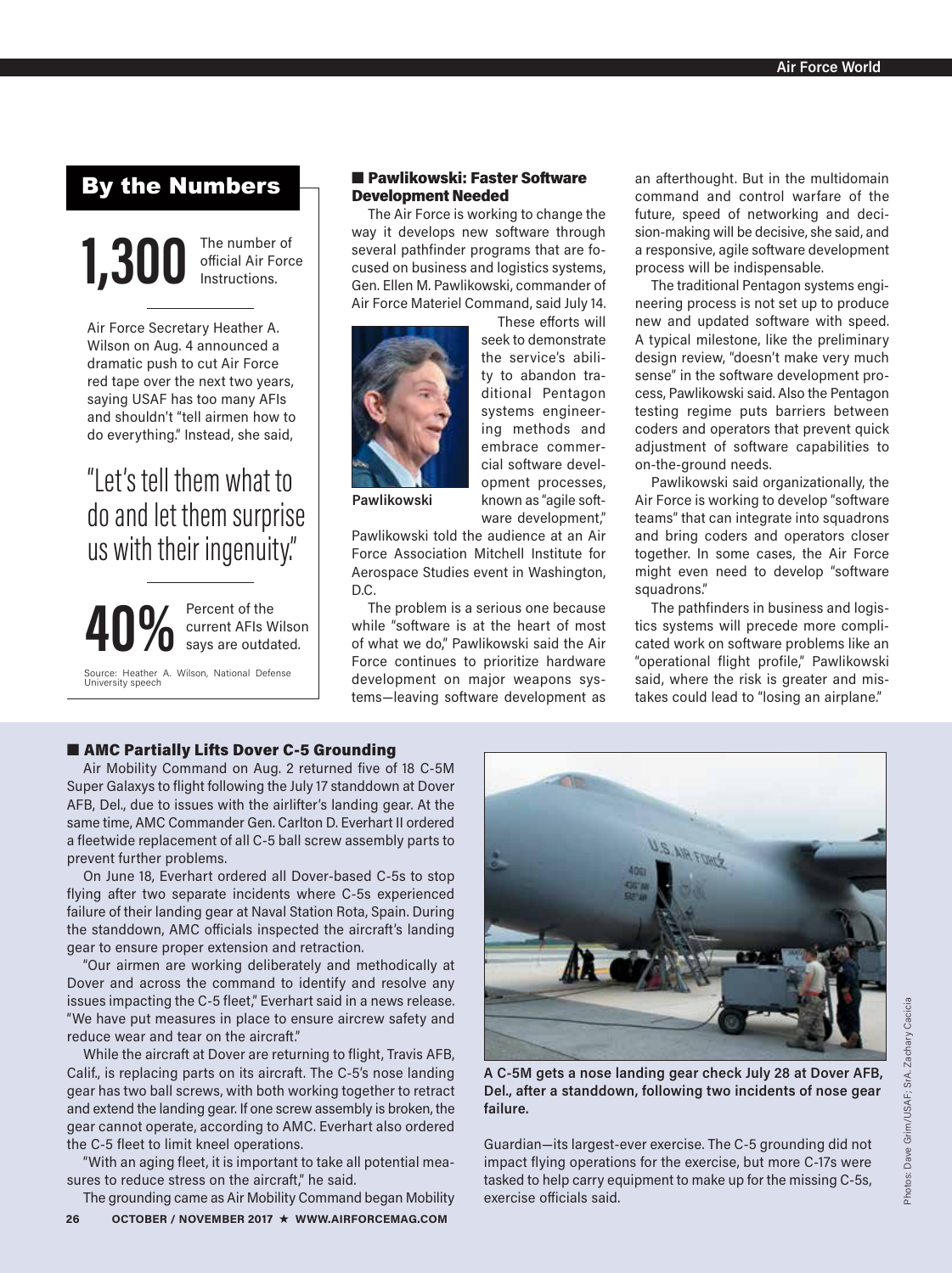### By the Numbers

**1,300** The number of official Air Force Instructions.

Air Force Secretary Heather A. Wilson on Aug. 4 announced a dramatic push to cut Air Force red tape over the next two years, saying USAF has too many AFIs and shouldn't "tell airmen how to do everything." Instead, she said,

## "Let's tell them what to do and let them surprise us with their ingenuity"



Source: Heather A. Wilson, National Defense University speech

### ■ Pawlikowski: Faster Software Development Needed

The Air Force is working to change the way it develops new software through several pathfinder programs that are focused on business and logistics systems, Gen. Ellen M. Pawlikowski, commander of Air Force Materiel Command, said July 14.



These efforts will seek to demonstrate the service's ability to abandon traditional Pentagon systems engineering methods and embrace commercial software development processes, known as "agile software development,"

**Pawlikowski**

Pawlikowski told the audience at an Air Force Association Mitchell Institute for Aerospace Studies event in Washington, D.C.

The problem is a serious one because while "software is at the heart of most of what we do," Pawlikowski said the Air Force continues to prioritize hardware development on major weapons systems—leaving software development as an afterthought. But in the multidomain command and control warfare of the future, speed of networking and decision-making will be decisive, she said, and a responsive, agile software development process will be indispensable.

The traditional Pentagon systems engineering process is not set up to produce new and updated software with speed. A typical milestone, like the preliminary design review, "doesn't make very much sense" in the software development process, Pawlikowski said. Also the Pentagon testing regime puts barriers between coders and operators that prevent quick adjustment of software capabilities to on-the-ground needs.

Pawlikowski said organizationally, the Air Force is working to develop "software teams" that can integrate into squadrons and bring coders and operators closer together. In some cases, the Air Force might even need to develop "software squadrons."

The pathfinders in business and logistics systems will precede more complicated work on software problems like an "operational flight profile," Pawlikowski said, where the risk is greater and mistakes could lead to "losing an airplane."

### ■ AMC Partially Lifts Dover C-5 Grounding

Air Mobility Command on Aug. 2 returned five of 18 C-5M Super Galaxys to flight following the July 17 standdown at Dover AFB, Del., due to issues with the airlifter's landing gear. At the same time, AMC Commander Gen. Carlton D. Everhart II ordered a fleetwide replacement of all C-5 ball screw assembly parts to prevent further problems.

On June 18, Everhart ordered all Dover-based C-5s to stop flying after two separate incidents where C-5s experienced failure of their landing gear at Naval Station Rota, Spain. During the standdown, AMC officials inspected the aircraft's landing gear to ensure proper extension and retraction.

"Our airmen are working deliberately and methodically at Dover and across the command to identify and resolve any issues impacting the C-5 fleet," Everhart said in a news release. "We have put measures in place to ensure aircrew safety and reduce wear and tear on the aircraft."

While the aircraft at Dover are returning to flight, Travis AFB, Calif., is replacing parts on its aircraft. The C-5's nose landing gear has two ball screws, with both working together to retract and extend the landing gear. If one screw assembly is broken, the gear cannot operate, according to AMC. Everhart also ordered the C-5 fleet to limit kneel operations.

"With an aging fleet, it is important to take all potential measures to reduce stress on the aircraft," he said.

**26 OCTOBER / NOVEMBER 2017** H **WWW.AIRFORCEMAG.COM** The grounding came as Air Mobility Command began Mobility



**A C-5M gets a nose landing gear check July 28 at Dover AFB, Del., after a standdown, following two incidents of nose gear failure.** 

Guardian—its largest-ever exercise. The C-5 grounding did not impact flying operations for the exercise, but more C-17s were tasked to help carry equipment to make up for the missing C-5s, exercise officials said.